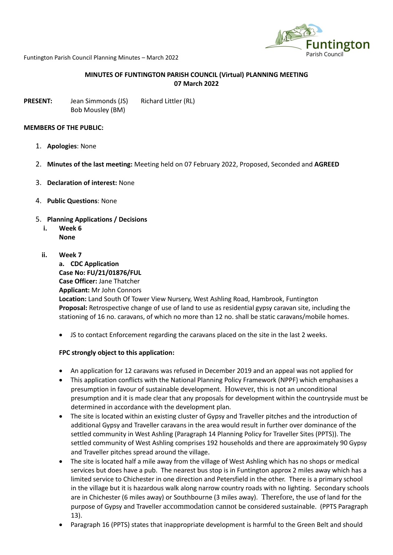

Funtington Parish Council Planning Minutes – March 2022

## **MINUTES OF FUNTINGTON PARISH COUNCIL (Virtual) PLANNING MEETING 07 March 2022**

**PRESENT:** Jean Simmonds (JS) Richard Littler (RL) Bob Mousley (BM)

#### **MEMBERS OF THE PUBLIC:**

- 1. **Apologies**: None
- 2. **Minutes of the last meeting:** Meeting held on 07 February 2022, Proposed, Seconded and **AGREED**
- 3. **Declaration of interest:** None
- 4. **Public Questions**: None
- 5. **Planning Applications / Decisions**
	- **i. Week 6 None**
		-
	- **ii. Week 7**

**a. CDC Application Case No: FU/21/01876/FUL Case Officer:** Jane Thatcher **Applicant:** Mr John Connors **Location:** Land South Of Tower View Nursery, West Ashling Road, Hambrook, Funtington **Proposal:** Retrospective change of use of land to use as residential gypsy caravan site, including the stationing of 16 no. caravans, of which no more than 12 no. shall be static caravans/mobile homes.

• JS to contact Enforcement regarding the caravans placed on the site in the last 2 weeks.

### **FPC strongly object to this application:**

- An application for 12 caravans was refused in December 2019 and an appeal was not applied for
- This application conflicts with the National Planning Policy Framework (NPPF) which emphasises a presumption in favour of sustainable development. However, this is not an unconditional presumption and it is made clear that any proposals for development within the countryside must be determined in accordance with the development plan.
- The site is located within an existing cluster of Gypsy and Traveller pitches and the introduction of additional Gypsy and Traveller caravans in the area would result in further over dominance of the settled community in West Ashling (Paragraph 14 Planning Policy for Traveller Sites (PPTS)). The settled community of West Ashling comprises 192 households and there are approximately 90 Gypsy and Traveller pitches spread around the village.
- The site is located half a mile away from the village of West Ashling which has no shops or medical services but does have a pub. The nearest bus stop is in Funtington approx 2 miles away which has a limited service to Chichester in one direction and Petersfield in the other. There is a primary school in the village but it is hazardous walk along narrow country roads with no lighting. Secondary schools are in Chichester (6 miles away) or Southbourne (3 miles away). Therefore, the use of land for the purpose of Gypsy and Traveller accommodation cannot be considered sustainable. (PPTS Paragraph 13).
- Paragraph 16 (PPTS) states that inappropriate development is harmful to the Green Belt and should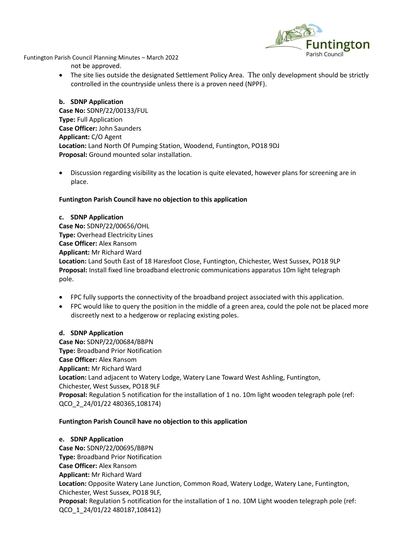

Funtington Parish Council Planning Minutes – March 2022 not be approved.

> • The site lies outside the designated Settlement Policy Area. The only development should be strictly controlled in the countryside unless there is a proven need (NPPF).

**b. SDNP Application Case No:** SDNP/22/00133/FUL **Type:** Full Application **Case Officer:** John Saunders **Applicant:** C/O Agent **Location:** Land North Of Pumping Station, Woodend, Funtington, PO18 9DJ **Proposal:** Ground mounted solar installation.

• Discussion regarding visibility as the location is quite elevated, however plans for screening are in place.

# **Funtington Parish Council have no objection to this application**

### **c. SDNP Application**

**Case No:** SDNP/22/00656/OHL **Type:** Overhead Electricity Lines **Case Officer:** Alex Ransom **Applicant:** Mr Richard Ward **Location:** Land South East of 18 Haresfoot Close, Funtington, Chichester, West Sussex, PO18 9LP **Proposal:** Install fixed line broadband electronic communications apparatus 10m light telegraph pole.

- FPC fully supports the connectivity of the broadband project associated with this application.
- FPC would like to query the position in the middle of a green area, could the pole not be placed more discreetly next to a hedgerow or replacing existing poles.

### **d. SDNP Application**

**Case No:** SDNP/22/00684/BBPN **Type:** Broadband Prior Notification **Case Officer:** Alex Ransom **Applicant:** Mr Richard Ward **Location:** Land adjacent to Watery Lodge, Watery Lane Toward West Ashling, Funtington, Chichester, West Sussex, PO18 9LF **Proposal:** Regulation 5 notification for the installation of 1 no. 10m light wooden telegraph pole (ref: QCO\_2\_24/01/22 480365,108174)

### **Funtington Parish Council have no objection to this application**

**e. SDNP Application Case No:** SDNP/22/00695/BBPN **Type:** Broadband Prior Notification **Case Officer:** Alex Ransom **Applicant:** Mr Richard Ward **Location:** Opposite Watery Lane Junction, Common Road, Watery Lodge, Watery Lane, Funtington, Chichester, West Sussex, PO18 9LF, **Proposal:** Regulation 5 notification for the installation of 1 no. 10M Light wooden telegraph pole (ref: QCO\_1\_24/01/22 480187,108412)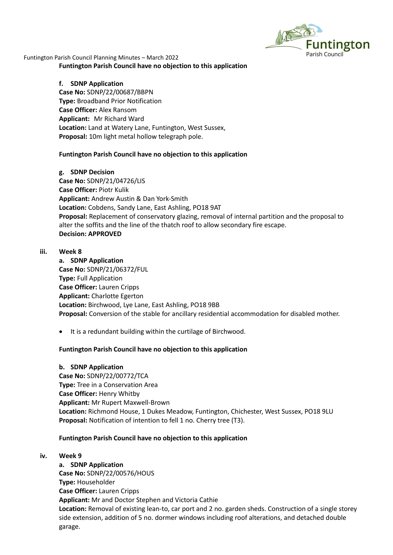

Funtington Parish Council Planning Minutes – March 2022 **Funtington Parish Council have no objection to this application**

# **f. SDNP Application Case No:** SDNP/22/00687/BBPN

**Type:** Broadband Prior Notification **Case Officer:** Alex Ransom **Applicant:** Mr Richard Ward **Location:** Land at Watery Lane, Funtington, West Sussex, **Proposal:** 10m light metal hollow telegraph pole.

## **Funtington Parish Council have no objection to this application**

### **g. SDNP Decision**

**Case No:** SDNP/21/04726/LIS **Case Officer:** Piotr Kulik **Applicant:** Andrew Austin & Dan York-Smith **Location:** Cobdens, Sandy Lane, East Ashling, PO18 9AT **Proposal:** Replacement of conservatory glazing, removal of internal partition and the proposal to alter the soffits and the line of the thatch roof to allow secondary fire escape. **Decision: APPROVED**

### **iii. Week 8**

**a. SDNP Application Case No:** SDNP/21/06372/FUL **Type:** Full Application **Case Officer:** Lauren Cripps **Applicant:** Charlotte Egerton **Location:** Birchwood, Lye Lane, East Ashling, PO18 9BB **Proposal:** Conversion of the stable for ancillary residential accommodation for disabled mother.

• It is a redundant building within the curtilage of Birchwood.

# **Funtington Parish Council have no objection to this application**

### **b. SDNP Application**

**Case No:** SDNP/22/00772/TCA **Type:** Tree in a Conservation Area **Case Officer:** Henry Whitby **Applicant:** Mr Rupert Maxwell-Brown **Location:** Richmond House, 1 Dukes Meadow, Funtington, Chichester, West Sussex, PO18 9LU **Proposal:** Notification of intention to fell 1 no. Cherry tree (T3).

# **Funtington Parish Council have no objection to this application**

### **iv. Week 9**

**a. SDNP Application Case No:** SDNP/22/00576/HOUS **Type:** Householder **Case Officer:** Lauren Cripps **Applicant:** Mr and Doctor Stephen and Victoria Cathie **Location:** Removal of existing lean-to, car port and 2 no. garden sheds. Construction of a single storey side extension, addition of 5 no. dormer windows including roof alterations, and detached double garage.